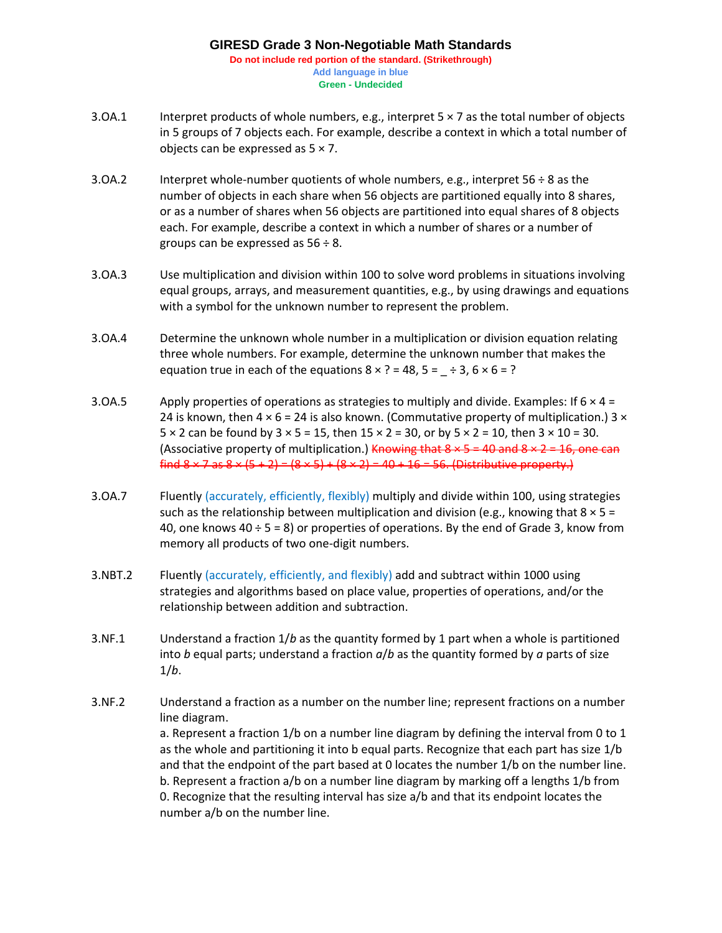## **GIRESD Grade 3 Non-Negotiable Math Standards Do not include red portion of the standard. (Strikethrough) Add language in blue Green - Undecided**

- 3.OA.1 Interpret products of whole numbers, e.g., interpret  $5 \times 7$  as the total number of objects in 5 groups of 7 objects each. For example, describe a context in which a total number of objects can be expressed as  $5 \times 7$ .
- 3.OA.2 Interpret whole-number quotients of whole numbers, e.g., interpret  $56 \div 8$  as the number of objects in each share when 56 objects are partitioned equally into 8 shares, or as a number of shares when 56 objects are partitioned into equal shares of 8 objects each. For example, describe a context in which a number of shares or a number of groups can be expressed as  $56 \div 8$ .
- 3.OA.3 Use multiplication and division within 100 to solve word problems in situations involving equal groups, arrays, and measurement quantities, e.g., by using drawings and equations with a symbol for the unknown number to represent the problem.
- 3.OA.4 Determine the unknown whole number in a multiplication or division equation relating three whole numbers. For example, determine the unknown number that makes the equation true in each of the equations  $8 \times ? = 48$ ,  $5 = -\div 3$ ,  $6 \times 6 = ?$
- 3.OA.5 Apply properties of operations as strategies to multiply and divide. Examples: If 6  $\times$  4 = 24 is known, then  $4 \times 6 = 24$  is also known. (Commutative property of multiplication.) 3  $\times$  $5 \times 2$  can be found by  $3 \times 5 = 15$ , then  $15 \times 2 = 30$ , or by  $5 \times 2 = 10$ , then  $3 \times 10 = 30$ . (Associative property of multiplication.) Knowing that  $8 \times 5 = 40$  and  $8 \times 2 = 16$ , one can find  $8 \times 7$  as  $8 \times (5 + 2) = (8 \times 5) + (8 \times 2) = 40 + 16 = 56$ . (Distributive property.)
- 3.OA.7 Fluently (accurately, efficiently, flexibly) multiply and divide within 100, using strategies such as the relationship between multiplication and division (e.g., knowing that  $8 \times 5 =$ 40, one knows  $40 \div 5 = 8$ ) or properties of operations. By the end of Grade 3, know from memory all products of two one-digit numbers.
- 3.NBT.2 Fluently (accurately, efficiently, and flexibly) add and subtract within 1000 using strategies and algorithms based on place value, properties of operations, and/or the relationship between addition and subtraction.
- 3.NF.1 Understand a fraction 1/*b* as the quantity formed by 1 part when a whole is partitioned into *b* equal parts; understand a fraction *a*/*b* as the quantity formed by *a* parts of size 1/*b*.
- 3.NF.2 Understand a fraction as a number on the number line; represent fractions on a number line diagram. a. Represent a fraction 1/b on a number line diagram by defining the interval from 0 to 1 as the whole and partitioning it into b equal parts. Recognize that each part has size 1/b and that the endpoint of the part based at 0 locates the number 1/b on the number line. b. Represent a fraction a/b on a number line diagram by marking off a lengths 1/b from 0. Recognize that the resulting interval has size a/b and that its endpoint locates the number a/b on the number line.